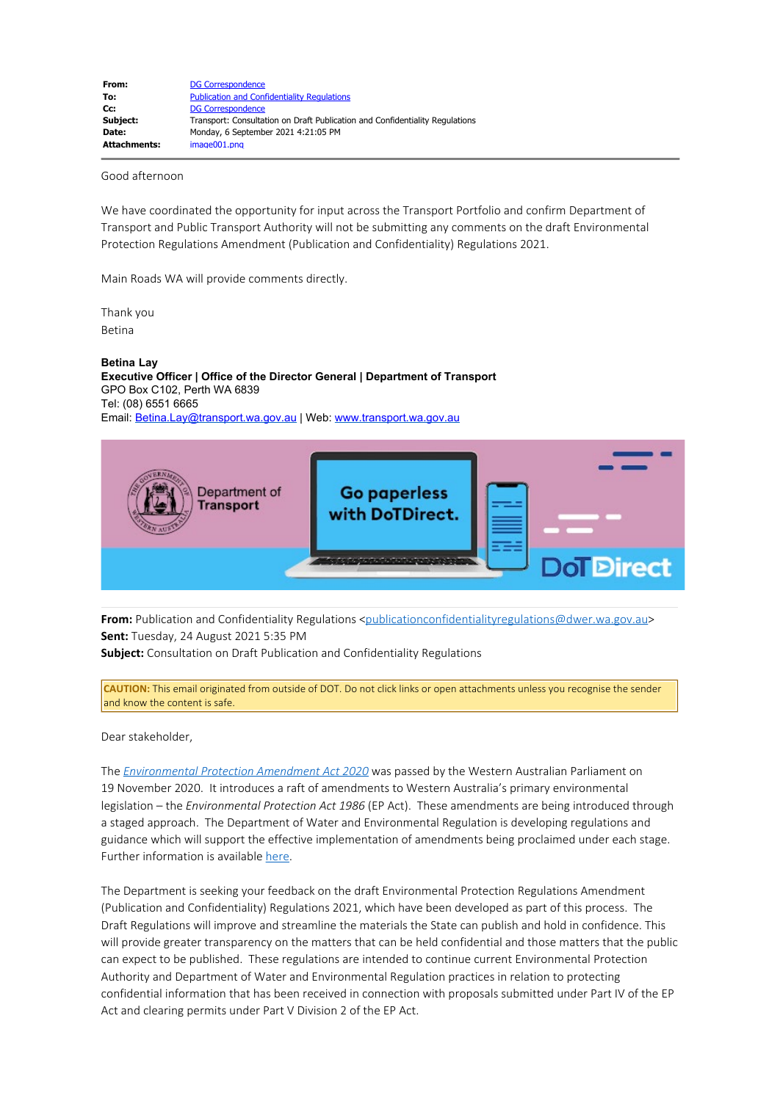| From:               | <b>DG Correspondence</b>                                                     |
|---------------------|------------------------------------------------------------------------------|
| To:                 | <b>Publication and Confidentiality Regulations</b>                           |
| Cc:                 | <b>DG Correspondence</b>                                                     |
| Subject:            | Transport: Consultation on Draft Publication and Confidentiality Regulations |
| Date:               | Monday, 6 September 2021 4:21:05 PM                                          |
| <b>Attachments:</b> | image001.png                                                                 |

## Good afternoon

We have coordinated the opportunity for input across the Transport Portfolio and confirm Department of Transport and Public Transport Authority will not be submitting any comments on the draft Environmental Protection Regulations Amendment (Publication and Confidentiality) Regulations 2021.

Main Roads WA will provide comments directly.

Thank you Betina

**Betina Lay Executive Officer | Office of the Director General | Department of Transport** GPO Box C102, Perth WA 6839 Tel: (08) 6551 6665 Email: [Betina.Lay@transport.wa.gov.au](mailto:Betina.Lay@transport.wa.gov.au) | Web: [www.transport.wa.gov.au](https://aus01.safelinks.protection.outlook.com/?url=http%3A%2F%2Fwww.transport.wa.gov.au%2F&data=04%7C01%7Cpublicationconfidentialityregulations%40dwer.wa.gov.au%7C9b2a1996ce174aeed88d08d9710f31d7%7C53ebe217aa1e46feb88e9d762dec2ef6%7C0%7C0%7C637665132651982345%7CUnknown%7CTWFpbGZsb3d8eyJWIjoiMC4wLjAwMDAiLCJQIjoiV2luMzIiLCJBTiI6Ik1haWwiLCJXVCI6Mn0%3D%7C0&sdata=wIodTbrtIhQJDenZ2Bif5HJGZq30IHF7IP9DWZtxI44%3D&reserved=0)



**From:** Publication and Confidentiality Regulations [<publicationconfidentialityregulations@dwer.wa.gov.au](mailto:publicationconfidentialityregulations@dwer.wa.gov.au)> **Sent:** Tuesday, 24 August 2021 5:35 PM

**Subject:** Consultation on Draft Publication and Confidentiality Regulations

**CAUTION:** This email originated from outside of DOT. Do not click links or open attachments unless you recognise the sender and know the content is safe.

Dear stakeholder,

The *[Environmental Protection Amendment Act 2020](https://aus01.safelinks.protection.outlook.com/?url=https%3A%2F%2Fwww.legislation.wa.gov.au%2Flegislation%2Fprod%2Ffilestore.nsf%2FFileURL%2Fmrdoc_43468.pdf%2F%24FILE%2FEnvironmental%2520Protection%2520Amendment%2520Act%25202020%2520-%2520%255B00-00-00%255D.pdf%3FOpenElement&data=04%7C01%7Cpublicationconfidentialityregulations%40dwer.wa.gov.au%7C9b2a1996ce174aeed88d08d9710f31d7%7C53ebe217aa1e46feb88e9d762dec2ef6%7C0%7C0%7C637665132651982345%7CUnknown%7CTWFpbGZsb3d8eyJWIjoiMC4wLjAwMDAiLCJQIjoiV2luMzIiLCJBTiI6Ik1haWwiLCJXVCI6Mn0%3D%7C0&sdata=Yyl9IoB9nCTT%2Flz4zAIJRKV8ahrmTswaouh8ZBMG32I%3D&reserved=0)* was passed by the Western Australian Parliament on 19 November 2020. It introduces a raft of amendments to Western Australia's primary environmental legislation – the *Environmental Protection Act 1986* (EP Act). These amendments are being introduced through a staged approach. The Department of Water and Environmental Regulation is developing regulations and guidance which will support the effective implementation of amendments being proclaimed under each stage. Further information is available [here.](https://aus01.safelinks.protection.outlook.com/?url=https%3A%2F%2Fwww.wa.gov.au%2Fservice%2Fenvironment%2Fbusiness-and-community-assistance%2Famendments-the-environmental-protection-act-1986&data=04%7C01%7Cpublicationconfidentialityregulations%40dwer.wa.gov.au%7C9b2a1996ce174aeed88d08d9710f31d7%7C53ebe217aa1e46feb88e9d762dec2ef6%7C0%7C0%7C637665132651992298%7CUnknown%7CTWFpbGZsb3d8eyJWIjoiMC4wLjAwMDAiLCJQIjoiV2luMzIiLCJBTiI6Ik1haWwiLCJXVCI6Mn0%3D%7C0&sdata=53ipRH7gz3jaHGCkwdB8j44o8Kz%2FzrKkLCDIh5Yb6PM%3D&reserved=0)

The Department is seeking your feedback on the draft Environmental Protection Regulations Amendment (Publication and Confidentiality) Regulations 2021, which have been developed as part of this process. The Draft Regulations will improve and streamline the materials the State can publish and hold in confidence. This will provide greater transparency on the matters that can be held confidential and those matters that the public can expect to be published. These regulations are intended to continue current Environmental Protection Authority and Department of Water and Environmental Regulation practices in relation to protecting confidential information that has been received in connection with proposals submitted under Part IV of the EP Act and clearing permits under Part V Division 2 of the EP Act.